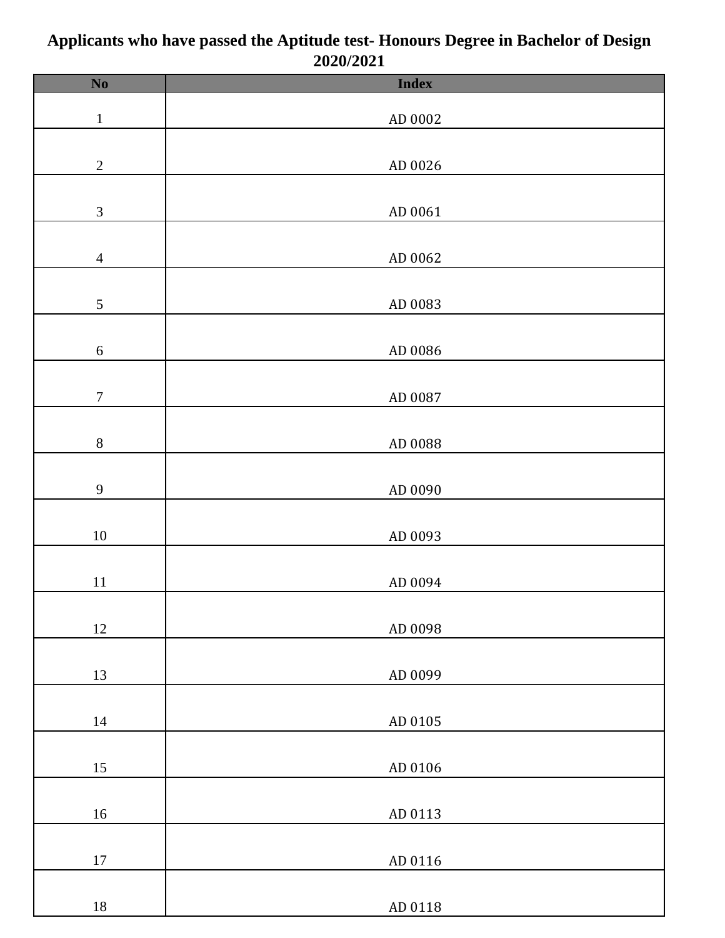| $\mathbf{N}\mathbf{0}$      | <b>Index</b> |
|-----------------------------|--------------|
|                             |              |
| $\mathbf{1}$                | AD 0002      |
|                             |              |
|                             |              |
| $\sqrt{2}$                  | AD 0026      |
|                             |              |
| $\ensuremath{\mathfrak{Z}}$ | AD 0061      |
|                             |              |
|                             |              |
| $\overline{4}$              | AD 0062      |
|                             |              |
| $\mathfrak{S}$              | AD 0083      |
|                             |              |
| $\sqrt{6}$                  | AD 0086      |
|                             |              |
|                             |              |
| $\boldsymbol{7}$            | AD 0087      |
|                             |              |
| $8\,$                       | AD 0088      |
|                             |              |
|                             |              |
| $\overline{9}$              | AD 0090      |
|                             |              |
| $10\,$                      | AD 0093      |
|                             |              |
| $11\,$                      | AD 0094      |
|                             |              |
|                             |              |
| $12\,$                      | AD 0098      |
|                             |              |
| 13                          | AD 0099      |
|                             |              |
|                             |              |
| $14\,$                      | AD 0105      |
|                             |              |
| 15                          | AD 0106      |
|                             |              |
| $16\,$                      | AD 0113      |
|                             |              |
|                             |              |
| $17\,$                      | AD 0116      |
|                             |              |
| $18\,$                      | AD 0118      |

## **Applicants who have passed the Aptitude test- Honours Degree in Bachelor of Design 2020/2021**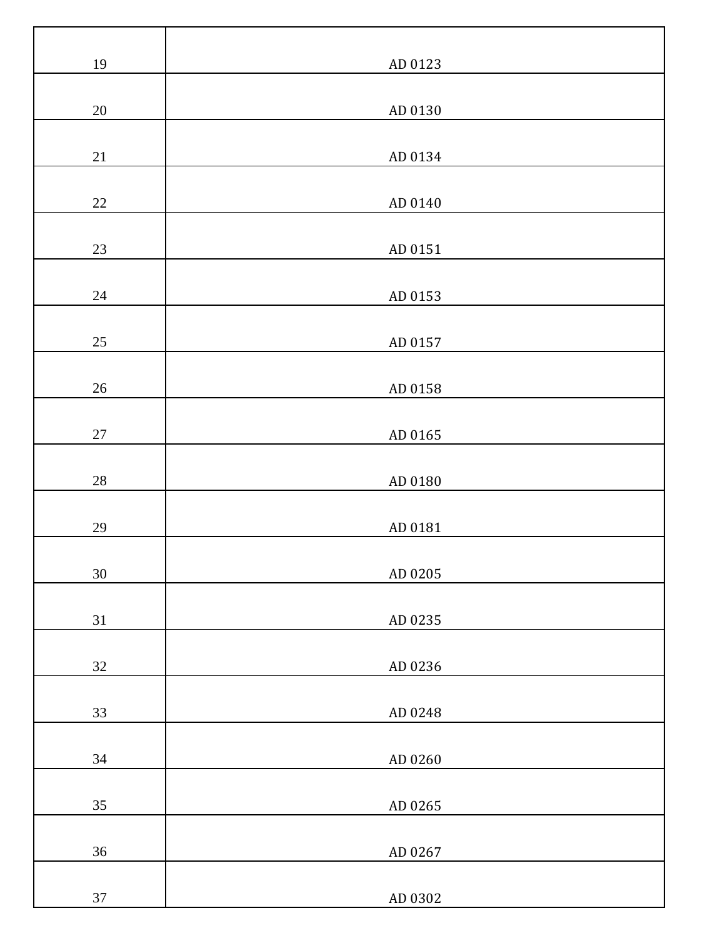| 19     | AD 0123 |
|--------|---------|
| $20\,$ | AD 0130 |
|        |         |
| $21\,$ | AD 0134 |
| $22\,$ | AD 0140 |
| $23\,$ | AD 0151 |
| $24\,$ | AD 0153 |
| $25\,$ | AD 0157 |
| $26\,$ | AD 0158 |
| $27\,$ | AD 0165 |
| $28\,$ | AD 0180 |
| $29\,$ | AD 0181 |
| 30     | AD 0205 |
| $31\,$ | AD 0235 |
| $32\,$ | AD 0236 |
| 33     | AD 0248 |
| 34     | AD 0260 |
| $35\,$ | AD 0265 |
| $36\,$ | AD 0267 |
| $37\,$ | AD 0302 |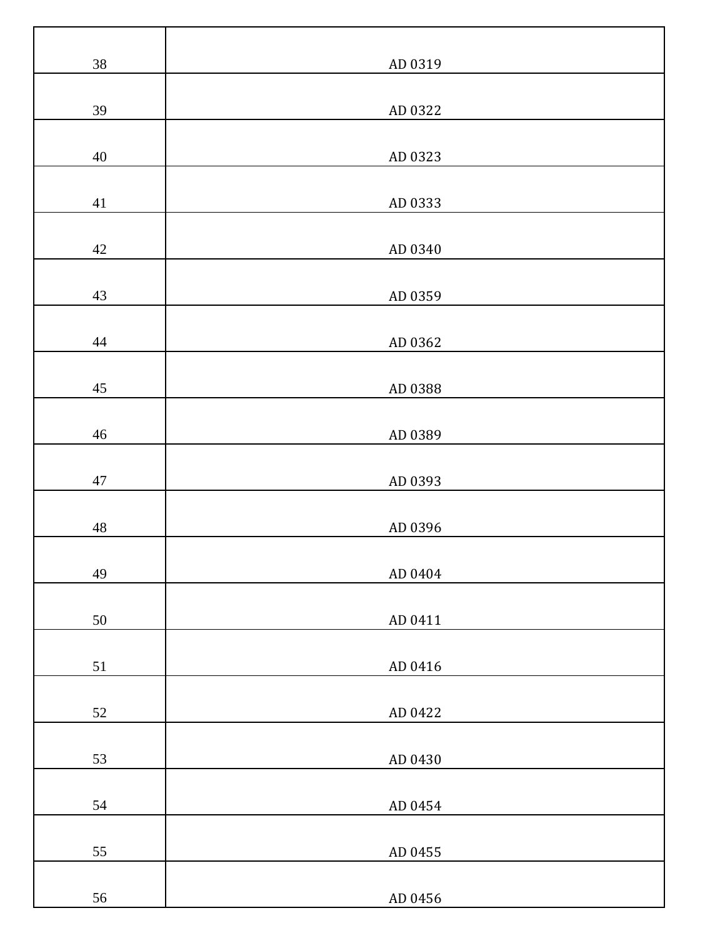| $38\,$      | AD 0319 |
|-------------|---------|
| 39          | AD 0322 |
| 40          | AD 0323 |
| 41          | AD 0333 |
| $42\,$      | AD 0340 |
| 43          | AD 0359 |
| $44\,$      | AD 0362 |
| $45\,$      | AD 0388 |
| $46\,$      | AD 0389 |
| $47\,$      | AD 0393 |
| $\sqrt{48}$ | AD 0396 |
| 49          | AD 0404 |
| 50          | AD 0411 |
| 51          | AD 0416 |
| $52\,$      | AD 0422 |
| 53          | AD 0430 |
| 54          | AD 0454 |
| 55          | AD 0455 |
| 56          | AD 0456 |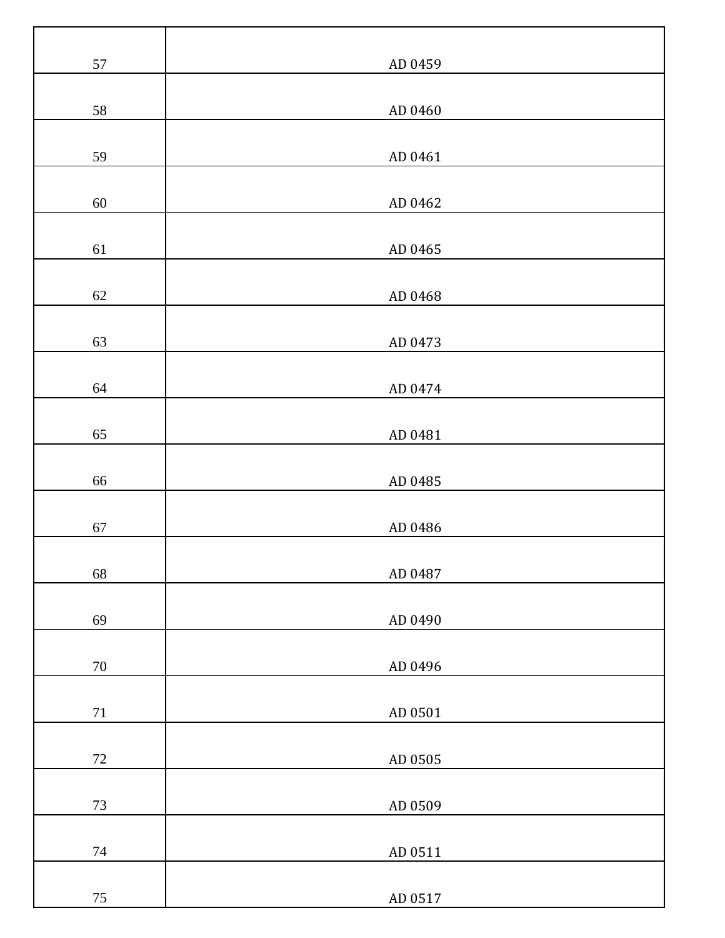| $57\,$ | AD 0459 |
|--------|---------|
| 58     | AD 0460 |
| 59     | AD 0461 |
| $60\,$ | AD 0462 |
| 61     | AD 0465 |
| $62\,$ | AD 0468 |
| 63     | AD 0473 |
| 64     | AD 0474 |
| 65     | AD 0481 |
| 66     | AD 0485 |
| 67     | AD 0486 |
| 68     | AD 0487 |
| 69     | AD 0490 |
| $70\,$ | AD 0496 |
| $71\,$ | AD 0501 |
| $72\,$ | AD 0505 |
| $73\,$ | AD 0509 |
| $74\,$ | AD 0511 |
| $75\,$ | AD 0517 |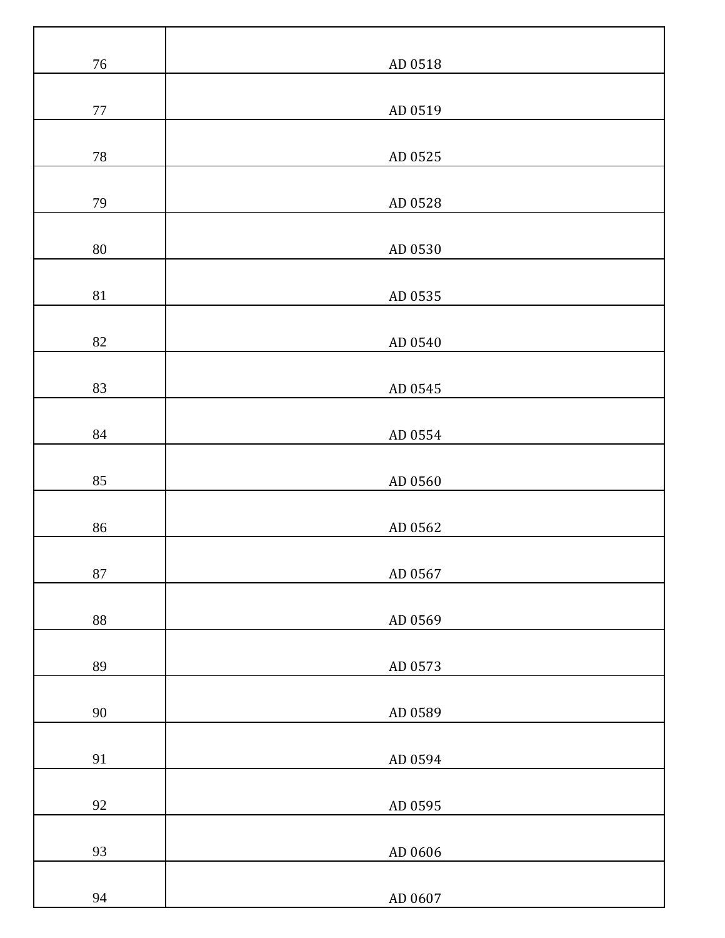| $76\,$   | AD 0518 |
|----------|---------|
| $77\,$   | AD 0519 |
| $78\,$   | AD 0525 |
|          |         |
| 79       | AD 0528 |
| $80\,$   | AD 0530 |
| 81       | AD 0535 |
| 82       | AD 0540 |
| 83       | AD 0545 |
| $\bf 84$ | AD 0554 |
| 85       | AD 0560 |
| 86       | AD 0562 |
| $87\,$   | AD 0567 |
| $88\,$   | AD 0569 |
| 89       | AD 0573 |
| $90\,$   | AD 0589 |
| 91       | AD 0594 |
| 92       | AD 0595 |
| 93       | AD 0606 |
| 94       | AD 0607 |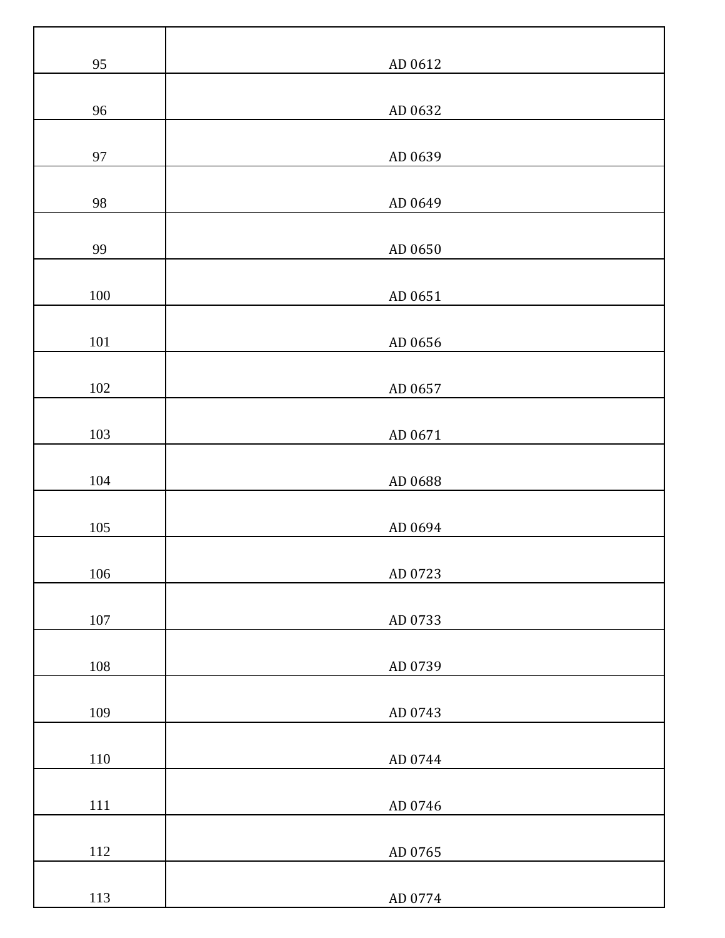| 95      | AD 0612 |
|---------|---------|
| 96      | AD 0632 |
| 97      | AD 0639 |
| 98      | AD 0649 |
|         |         |
| 99      | AD 0650 |
| $100\,$ | AD 0651 |
| $101\,$ | AD 0656 |
| $102\,$ | AD 0657 |
| 103     | AD 0671 |
| 104     | AD 0688 |
| $105\,$ | AD 0694 |
| 106     | AD 0723 |
| $107\,$ | AD 0733 |
| $108\,$ | AD 0739 |
| 109     | AD 0743 |
| $110\,$ | AD 0744 |
| $111\,$ | AD 0746 |
| $112\,$ | AD 0765 |
| 113     | AD 0774 |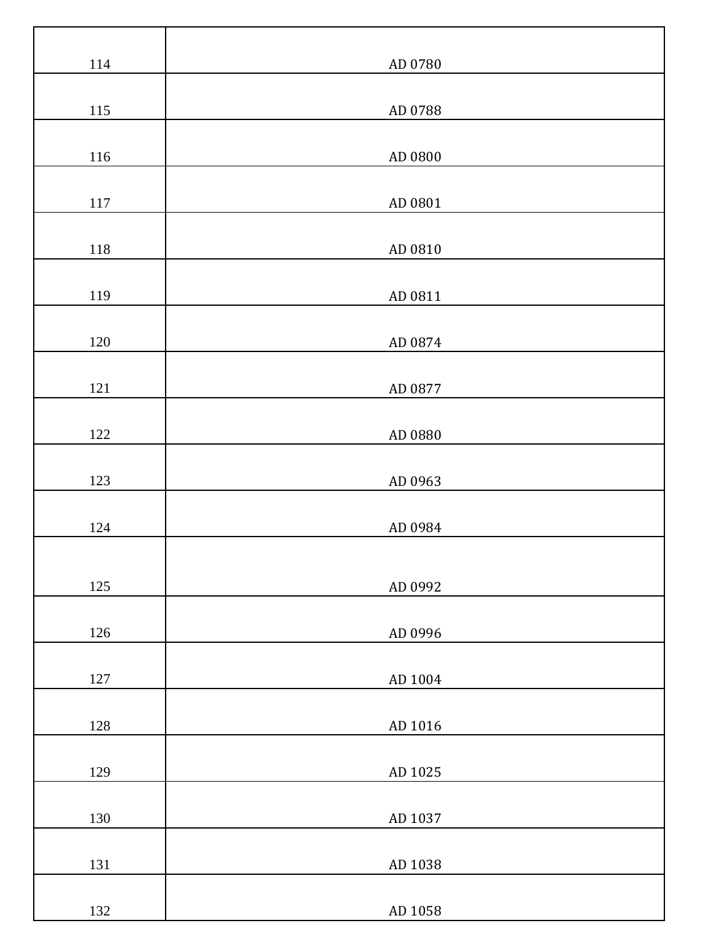| $114\,$ | AD 0780 |
|---------|---------|
| 115     | AD 0788 |
| $116\,$ | AD 0800 |
| $117\,$ | AD 0801 |
| $118\,$ | AD 0810 |
| 119     | AD 0811 |
| $120\,$ | AD 0874 |
| $121\,$ | AD 0877 |
| $122\,$ | AD 0880 |
| 123     | AD 0963 |
| 124     | AD 0984 |
| 125     | AD 0992 |
| $126\,$ | AD 0996 |
| $127\,$ | AD 1004 |
| $128\,$ | AD 1016 |
| 129     | AD 1025 |
| 130     | AD 1037 |
| 131     | AD 1038 |
| 132     | AD 1058 |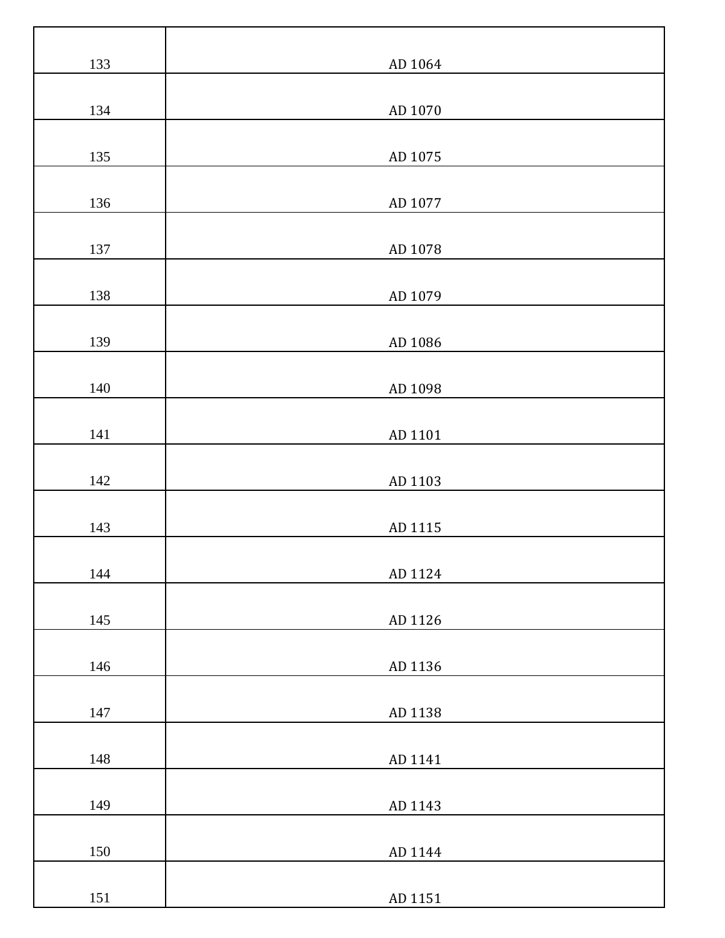| 133     | AD 1064 |
|---------|---------|
| 134     | AD 1070 |
|         |         |
| 135     | AD 1075 |
| 136     | AD 1077 |
| 137     | AD 1078 |
| 138     | AD 1079 |
| 139     | AD 1086 |
| 140     | AD 1098 |
| 141     | AD 1101 |
| 142     | AD 1103 |
| 143     | AD 1115 |
| 144     | AD 1124 |
| 145     | AD 1126 |
| 146     | AD 1136 |
| 147     | AD 1138 |
| 148     | AD 1141 |
| 149     | AD 1143 |
|         |         |
| 150     | AD 1144 |
| $151\,$ | AD 1151 |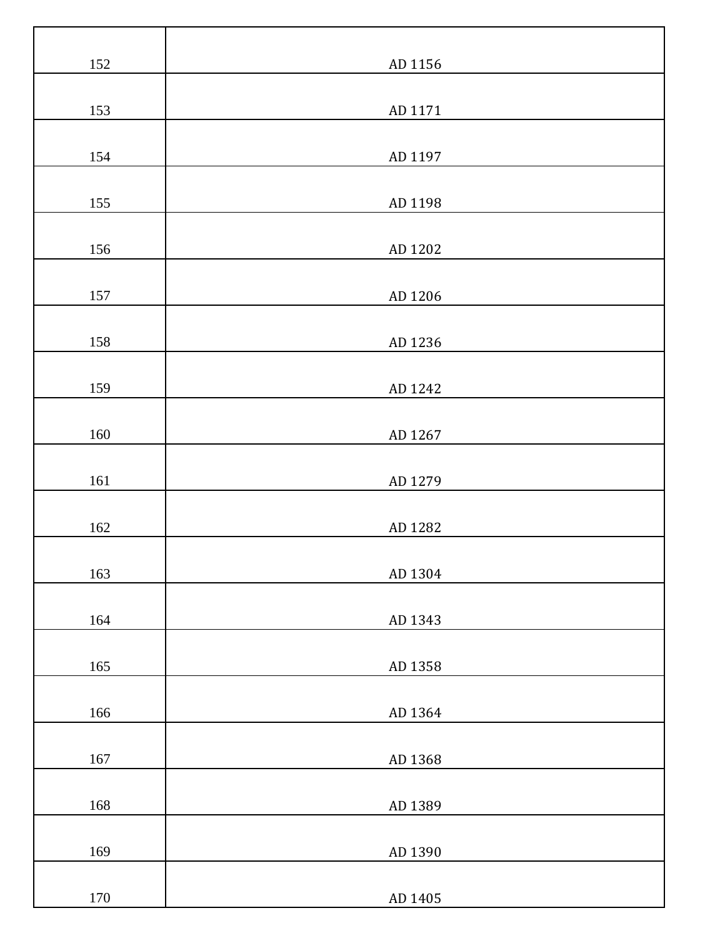| 152     | AD 1156 |
|---------|---------|
|         |         |
| 153     | AD 1171 |
| 154     | AD 1197 |
|         |         |
| 155     | AD 1198 |
| 156     | AD 1202 |
| 157     | AD 1206 |
|         |         |
| 158     | AD 1236 |
| 159     | AD 1242 |
| $160\,$ | AD 1267 |
| 161     | AD 1279 |
|         |         |
| 162     | AD 1282 |
| 163     | AD 1304 |
| 164     | AD 1343 |
|         |         |
| 165     | AD 1358 |
| 166     | AD 1364 |
| $167\,$ | AD 1368 |
| 168     | AD 1389 |
|         |         |
| 169     | AD 1390 |
| $170\,$ | AD 1405 |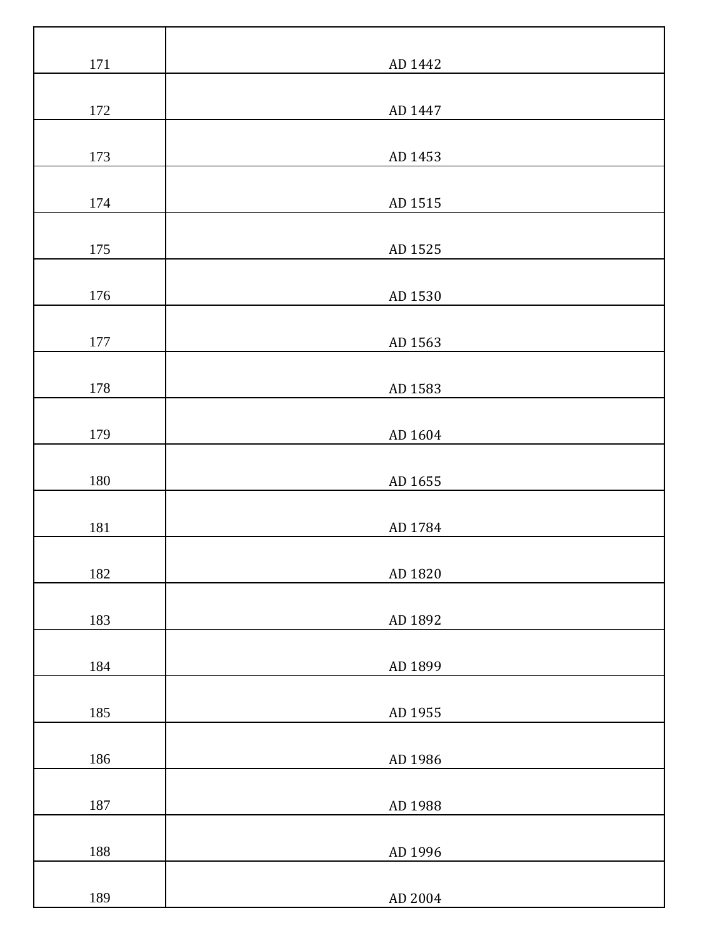| $171\,$ | AD 1442 |
|---------|---------|
|         |         |
| 172     | AD 1447 |
| 173     | AD 1453 |
| 174     | AD 1515 |
| 175     | AD 1525 |
| 176     | AD 1530 |
| 177     | AD 1563 |
| 178     | AD 1583 |
| 179     | AD 1604 |
| 180     | AD 1655 |
| 181     | AD 1784 |
| 182     | AD 1820 |
| 183     | AD 1892 |
| 184     | AD 1899 |
| 185     | AD 1955 |
| 186     | AD 1986 |
| 187     | AD 1988 |
| 188     | AD 1996 |
| 189     | AD 2004 |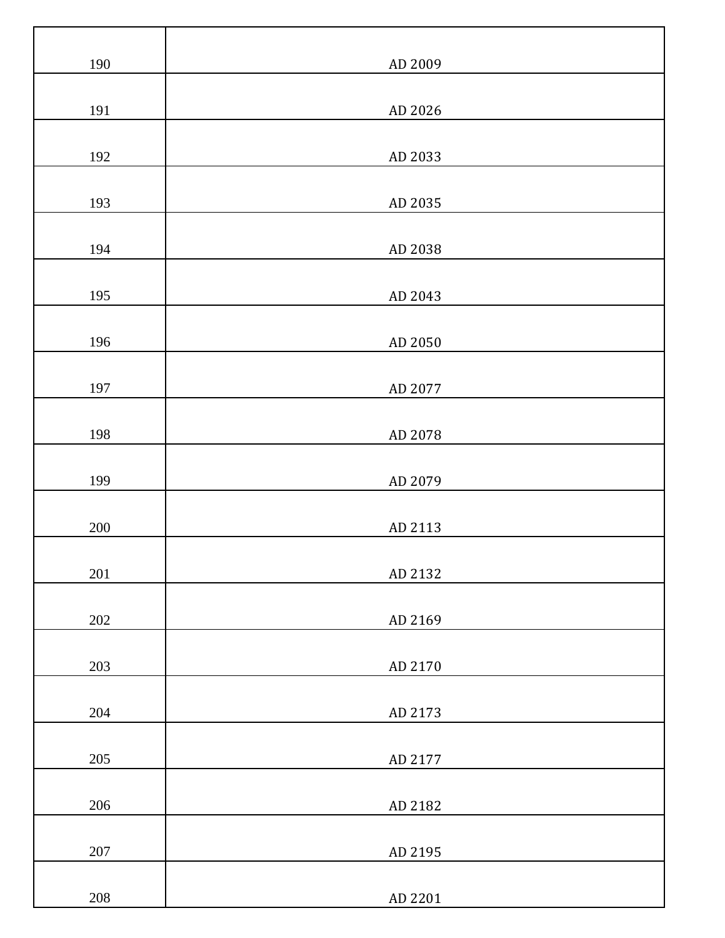| 190     | AD 2009 |
|---------|---------|
| 191     | AD 2026 |
| 192     | AD 2033 |
| 193     | AD 2035 |
| 194     | AD 2038 |
| 195     | AD 2043 |
|         |         |
| 196     | AD 2050 |
| 197     | AD 2077 |
| 198     | AD 2078 |
| 199     | AD 2079 |
| $200\,$ | AD 2113 |
| 201     | AD 2132 |
| 202     | AD 2169 |
| 203     | AD 2170 |
| 204     | AD 2173 |
| $205\,$ | AD 2177 |
| 206     | AD 2182 |
| $207\,$ | AD 2195 |
| $208\,$ | AD 2201 |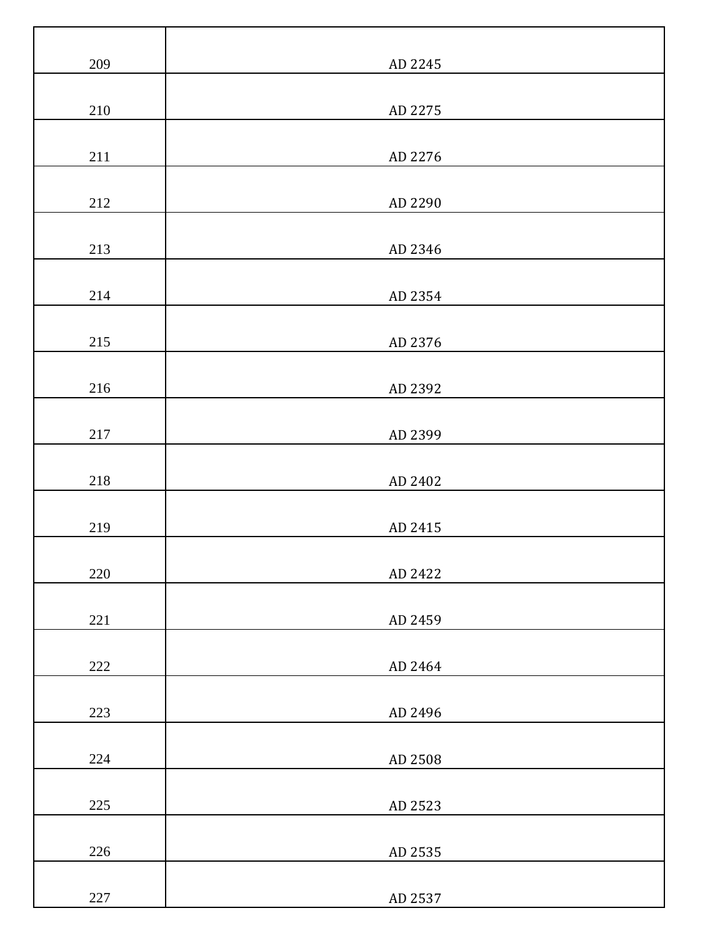| 209     | AD 2245 |
|---------|---------|
| $210\,$ | AD 2275 |
| $211\,$ | AD 2276 |
| $212\,$ | AD 2290 |
| 213     | AD 2346 |
| 214     | AD 2354 |
| 215     | AD 2376 |
| $216\,$ | AD 2392 |
| $217\,$ | AD 2399 |
| $218\,$ | AD 2402 |
| 219     | AD 2415 |
| $220\,$ | AD 2422 |
| 221     | AD 2459 |
| $222\,$ | AD 2464 |
| 223     | AD 2496 |
| 224     | AD 2508 |
| $225\,$ | AD 2523 |
| 226     | AD 2535 |
| $227\,$ | AD 2537 |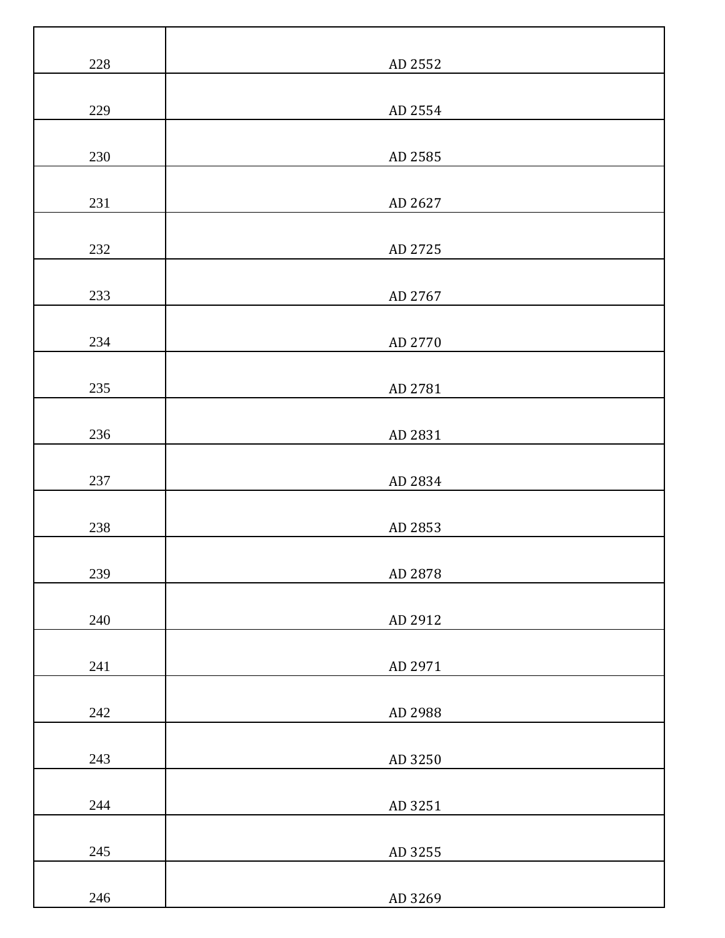| $228\,$ | AD 2552 |
|---------|---------|
| 229     | AD 2554 |
| 230     | AD 2585 |
|         |         |
| 231     | AD 2627 |
| $232\,$ | AD 2725 |
| 233     | AD 2767 |
| 234     | AD 2770 |
| $235\,$ | AD 2781 |
| 236     | AD 2831 |
| 237     | AD 2834 |
| 238     | AD 2853 |
| 239     | AD 2878 |
| 240     | AD 2912 |
| $241\,$ | AD 2971 |
| 242     | AD 2988 |
| 243     | AD 3250 |
| $244\,$ | AD 3251 |
| 245     | AD 3255 |
| 246     | AD 3269 |